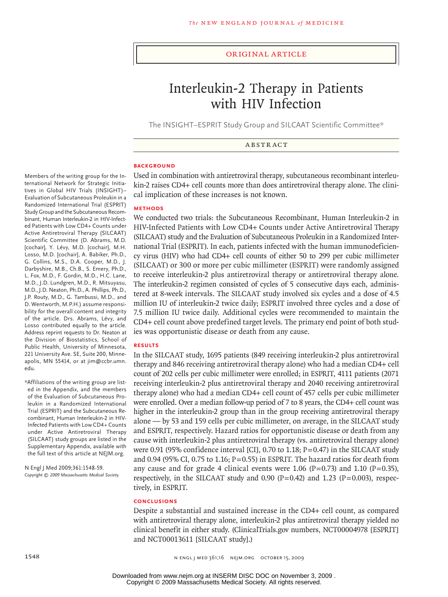#### original article

# Interleukin-2 Therapy in Patients with HIV Infection

The INSIGHT–ESPRIT Study Group and SILCAAT Scientific Committee\*

Abstract

#### **BACKGROUND**

Used in combination with antiretroviral therapy, subcutaneous recombinant interleukin-2 raises CD4+ cell counts more than does antiretroviral therapy alone. The clinical implication of these increases is not known.

#### **Methods**

We conducted two trials: the Subcutaneous Recombinant, Human Interleukin-2 in HIV-Infected Patients with Low CD4+ Counts under Active Antiretroviral Therapy (SILCAAT) study and the Evaluation of Subcutaneous Proleukin in a Randomized International Trial (ESPRIT). In each, patients infected with the human immunodeficiency virus (HIV) who had CD4+ cell counts of either 50 to 299 per cubic millimeter (SILCAAT) or 300 or more per cubic millimeter (ESPRIT) were randomly assigned to receive interleukin-2 plus antiretroviral therapy or antiretroviral therapy alone. The interleukin-2 regimen consisted of cycles of 5 consecutive days each, administered at 8-week intervals. The SILCAAT study involved six cycles and a dose of 4.5 million IU of interleukin-2 twice daily; ESPRIT involved three cycles and a dose of 7.5 million IU twice daily. Additional cycles were recommended to maintain the CD4+ cell count above predefined target levels. The primary end point of both studies was opportunistic disease or death from any cause.

#### **Results**

In the SILCAAT study, 1695 patients (849 receiving interleukin-2 plus antiretroviral therapy and 846 receiving antiretroviral therapy alone) who had a median CD4+ cell count of 202 cells per cubic millimeter were enrolled; in ESPRIT, 4111 patients (2071 receiving interleukin-2 plus antiretroviral therapy and 2040 receiving antiretroviral therapy alone) who had a median CD4+ cell count of 457 cells per cubic millimeter were enrolled. Over a median follow-up period of 7 to 8 years, the CD4+ cell count was higher in the interleukin-2 group than in the group receiving antiretroviral therapy alone — by 53 and 159 cells per cubic millimeter, on average, in the SILCAAT study and ESPRIT, respectively. Hazard ratios for opportunistic disease or death from any cause with interleukin-2 plus antiretroviral therapy (vs. antiretroviral therapy alone) were 0.91 (95% confidence interval [CI], 0.70 to 1.18; P=0.47) in the SILCAAT study and 0.94 (95% CI, 0.75 to 1.16;  $P=0.55$ ) in ESPRIT. The hazard ratios for death from any cause and for grade 4 clinical events were 1.06 (P=0.73) and 1.10 (P=0.35), respectively, in the SILCAAT study and 0.90 (P=0.42) and 1.23 (P=0.003), respectively, in ESPRIT.

#### **Conclusions**

Despite a substantial and sustained increase in the CD4+ cell count, as compared with antiretroviral therapy alone, interleukin-2 plus antiretroviral therapy yielded no clinical benefit in either study. (ClinicalTrials.gov numbers, NCT00004978 [ESPRIT] and NCT00013611 [SILCAAT study].)

Members of the writing group for the International Network for Strategic Initiatives in Global HIV Trials (INSIGHT)– Evaluation of Subcutaneous Proleukin in a Randomized International Trial (ESPRIT) Study Group and the Subcutaneous Recombinant, Human Interleukin-2 in HIV-Infected Patients with Low CD4+ Counts under Active Antiretroviral Therapy (SILCAAT) Scientific Committee (D. Abrams, M.D. [cochair], Y. Lévy, M.D. [cochair], M.H. Losso, M.D. [cochair], A. Babiker, Ph.D., G. Collins, M.S., D.A. Cooper, M.D., J. Darbyshire, M.B., Ch.B., S. Emery, Ph.D., L. Fox, M.D., F. Gordin, M.D., H.C. Lane, M.D., J.D. Lundgren, M.D., R. Mitsuyasu, M.D., J.D. Neaton, Ph.D., A. Phillips, Ph.D., J.P. Routy, M.D., G. Tambussi, M.D., and D. Wentworth, M.P.H.) assume responsibility for the overall content and integrity of the article. Drs. Abrams, Lévy, and Losso contributed equally to the article. Address reprint requests to Dr. Neaton at the Division of Biostatistics, School of Public Health, University of Minnesota, 221 University Ave. SE, Suite 200, Minneapolis, MN 55414, or at jim@ccbr.umn. edu.

\*Affiliations of the writing group are listed in the Appendix, and the members of the Evaluation of Subcutaneous Proleukin in a Randomized International Trial (ESPRIT) and the Subcutaneous Recombinant, Human Interleukin-2 in HIV-Infected Patients with Low CD4+ Counts under Active Antiretroviral Therapy (SILCAAT) study groups are listed in the Supplementary Appendix, available with the full text of this article at NEJM.org.

N Engl J Med 2009;361:1548-59. *Copyright © 2009 Massachusetts Medical Society.*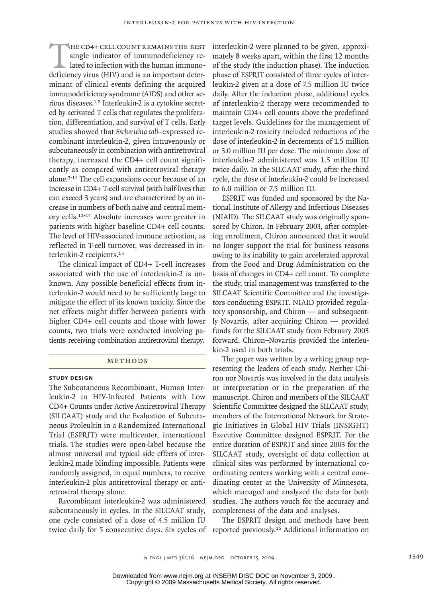THE CD4+ CELL COUNT REMAINS THE BEST single indicator of immunodeficiency related to infection with the human immunodeficiency virus (HIV) and is an important detersingle indicator of immunodeficiency related to infection with the human immunominant of clinical events defining the acquired immunodeficiency syndrome (AIDS) and other serious diseases.1,2 Interleukin-2 is a cytokine secreted by activated T cells that regulates the proliferation, differentiation, and survival of T cells. Early studies showed that *Escherichia coli*–expressed recombinant interleukin-2, given intravenously or subcutaneously in combination with antiretroviral therapy, increased the CD4+ cell count significantly as compared with antiretroviral therapy alone.3-11 The cell expansions occur because of an increase in CD4+ T-cell survival (with half-lives that can exceed 3 years) and are characterized by an increase in numbers of both naive and central memory cells.12-14 Absolute increases were greater in patients with higher baseline CD4+ cell counts. The level of HIV-associated immune activation, as reflected in T-cell turnover, was decreased in interleukin-2 recipients.<sup>15</sup>

The clinical impact of CD4+ T-cell increases associated with the use of interleukin-2 is unknown. Any possible beneficial effects from interleukin-2 would need to be sufficiently large to mitigate the effect of its known toxicity. Since the net effects might differ between patients with higher CD4+ cell counts and those with lower counts, two trials were conducted involving patients receiving combination antiretroviral therapy.

# Methods

#### **Study Design**

The Subcutaneous Recombinant, Human Interleukin-2 in HIV-Infected Patients with Low CD4+ Counts under Active Antiretroviral Therapy (SILCAAT) study and the Evaluation of Subcutaneous Proleukin in a Randomized International Trial (ESPRIT) were multicenter, international trials. The studies were open-label because the almost universal and typical side effects of interleukin-2 made blinding impossible. Patients were randomly assigned, in equal numbers, to receive interleukin-2 plus antiretroviral therapy or antiretroviral therapy alone.

Recombinant interleukin-2 was administered subcutaneously in cycles. In the SILCAAT study, one cycle consisted of a dose of 4.5 million IU twice daily for 5 consecutive days. Six cycles of reported previously.<sup>16</sup> Additional information on

interleukin-2 were planned to be given, approximately 8 weeks apart, within the first 12 months of the study (the induction phase). The induction phase of ESPRIT consisted of three cycles of interleukin-2 given at a dose of 7.5 million IU twice daily. After the induction phase, additional cycles of interleukin-2 therapy were recommended to maintain CD4+ cell counts above the predefined target levels. Guidelines for the management of interleukin-2 toxicity included reductions of the dose of interleukin-2 in decrements of 1.5 million or 3.0 million IU per dose. The minimum dose of interleukin-2 administered was 1.5 million IU twice daily. In the SILCAAT study, after the third cycle, the dose of interleukin-2 could be increased to 6.0 million or 7.5 million IU.

ESPRIT was funded and sponsored by the National Institute of Allergy and Infectious Diseases (NIAID). The SILCAAT study was originally sponsored by Chiron. In February 2003, after completing enrollment, Chiron announced that it would no longer support the trial for business reasons owing to its inability to gain accelerated approval from the Food and Drug Administration on the basis of changes in CD4+ cell count. To complete the study, trial management was transferred to the SILCAAT Scientific Committee and the investigators conducting ESPRIT. NIAID provided regulatory sponsorship, and Chiron — and subsequently Novartis, after acquiring Chiron — provided funds for the SILCAAT study from February 2003 forward. Chiron–Novartis provided the interleukin-2 used in both trials.

The paper was written by a writing group representing the leaders of each study. Neither Chiron nor Novartis was involved in the data analysis or interpretation or in the preparation of the manuscript. Chiron and members of the SILCAAT Scientific Committee designed the SILCAAT study; members of the International Network for Strategic Initiatives in Global HIV Trials (INSIGHT) Executive Committee designed ESPRIT. For the entire duration of ESPRIT and since 2003 for the SILCAAT study, oversight of data collection at clinical sites was performed by international coordinating centers working with a central coordinating center at the University of Minnesota, which managed and analyzed the data for both studies. The authors vouch for the accuracy and completeness of the data and analyses.

The ESPRIT design and methods have been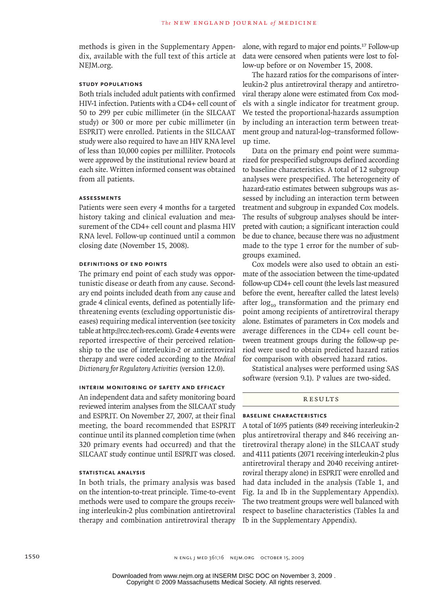methods is given in the Supplementary Appendix, available with the full text of this article at NEJM.org.

#### **Study Populations**

Both trials included adult patients with confirmed HIV-1 infection. Patients with a CD4+ cell count of 50 to 299 per cubic millimeter (in the SILCAAT study) or 300 or more per cubic millimeter (in ESPRIT) were enrolled. Patients in the SILCAAT study were also required to have an HIV RNA level of less than 10,000 copies per milliliter. Protocols were approved by the institutional review board at each site. Written informed consent was obtained from all patients.

#### **Assessments**

Patients were seen every 4 months for a targeted history taking and clinical evaluation and measurement of the CD4+ cell count and plasma HIV RNA level. Follow-up continued until a common closing date (November 15, 2008).

## **Definitions of End Points**

The primary end point of each study was opportunistic disease or death from any cause. Secondary end points included death from any cause and grade 4 clinical events, defined as potentially lifethreatening events (excluding opportunistic diseases) requiring medical intervention (see toxicity table at http://rcc.tech-res.com). Grade 4 events were reported irrespective of their perceived relationship to the use of interleukin-2 or antiretroviral therapy and were coded according to the *Medical Dictionary for Regulatory Activities* (version 12.0).

#### **Interim Monitoring of Safety and Efficacy**

An independent data and safety monitoring board reviewed interim analyses from the SILCAAT study and ESPRIT. On November 27, 2007, at their final meeting, the board recommended that ESPRIT continue until its planned completion time (when 320 primary events had occurred) and that the SILCAAT study continue until ESPRIT was closed.

#### **Statistical Analysis**

In both trials, the primary analysis was based on the intention-to-treat principle. Time-to-event methods were used to compare the groups receiving interleukin-2 plus combination antiretroviral therapy and combination antiretroviral therapy alone, with regard to major end points.17 Follow-up data were censored when patients were lost to follow-up before or on November 15, 2008.

The hazard ratios for the comparisons of interleukin-2 plus antiretroviral therapy and antiretroviral therapy alone were estimated from Cox models with a single indicator for treatment group. We tested the proportional-hazards assumption by including an interaction term between treatment group and natural-log–transformed followup time.

Data on the primary end point were summarized for prespecified subgroups defined according to baseline characteristics. A total of 12 subgroup analyses were prespecified. The heterogeneity of hazard-ratio estimates between subgroups was assessed by including an interaction term between treatment and subgroup in expanded Cox models. The results of subgroup analyses should be interpreted with caution; a significant interaction could be due to chance, because there was no adjustment made to the type 1 error for the number of subgroups examined.

Cox models were also used to obtain an estimate of the association between the time-updated follow-up CD4+ cell count (the levels last measured before the event, hereafter called the latest levels) after  $log_{10}$  transformation and the primary end point among recipients of antiretroviral therapy alone. Estimates of parameters in Cox models and average differences in the CD4+ cell count between treatment groups during the follow-up period were used to obtain predicted hazard ratios for comparison with observed hazard ratios.

Statistical analyses were performed using SAS software (version 9.1). P values are two-sided.

# **RESULTS**

#### **Baseline Characteristics**

A total of 1695 patients (849 receiving interleukin-2 plus antiretroviral therapy and 846 receiving antiretroviral therapy alone) in the SILCAAT study and 4111 patients (2071 receiving interleukin-2 plus antiretroviral therapy and 2040 receiving antiretroviral therapy alone) in ESPRIT were enrolled and had data included in the analysis (Table 1, and Fig. Ia and Ib in the Supplementary Appendix). The two treatment groups were well balanced with respect to baseline characteristics (Tables Ia and Ib in the Supplementary Appendix).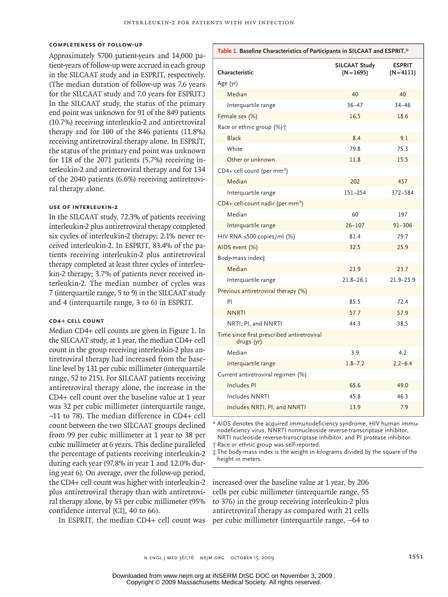#### **Completeness of Follow-up**

Approximately 5700 patient-years and 14,000 patient-years of follow-up were accrued in each group in the SILCAAT study and in ESPRIT, respectively. (The median duration of follow-up was 7.6 years for the SILCAAT study and 7.0 years for ESPRIT.) In the SILCAAT study, the status of the primary end point was unknown for 91 of the 849 patients (10.7%) receiving interleukin-2 and antiretroviral therapy and for 100 of the 846 patients (11.8%) receiving antiretroviral therapy alone. In ESPRIT, the status of the primary end point was unknown for 118 of the 2071 patients (5.7%) receiving interleukin-2 and antiretroviral therapy and for 134 of the 2040 patients (6.6%) receiving antiretroviral therapy alone.

#### **Use of Interleukin-2**

In the SILCAAT study, 72.3% of patients receiving interleukin-2 plus antiretroviral therapy completed six cycles of interleukin-2 therapy; 2.1% never received interleukin-2. In ESPRIT, 83.4% of the patients receiving interleukin-2 plus antiretroviral therapy completed at least three cycles of interleukin-2 therapy; 3.7% of patients never received interleukin-2. The median number of cycles was 7 (interquartile range, 5 to 9) in the SILCAAT study and 4 (interquartile range, 3 to 6) in ESPRIT.

# **CD4+ Cell Count**

Median CD4+ cell counts are given in Figure 1. In the SILCAAT study, at 1 year, the median CD4+ cell count in the group receiving interleukin-2 plus antiretroviral therapy had increased from the baseline level by 131 per cubic millimeter (interquartile range, 52 to 215). For SILCAAT patients receiving antiretroviral therapy alone, the increase in the CD4+ cell count over the baseline value at 1 year was 32 per cubic millimeter (interquartile range, −11 to 78). The median difference in CD4+ cell count between the two SILCAAT groups declined from 99 per cubic millimeter at 1 year to 38 per cubic millimeter at 6 years. This decline paralleled the percentage of patients receiving interleukin-2 during each year (97.8% in year 1 and 12.0% during year 6). On average, over the follow-up period, the CD4+ cell count was higher with interleukin-2 plus antiretroviral therapy than with antiretroviral therapy alone, by 53 per cubic millimeter (95% confidence interval [CI], 40 to 66).

|  | In ESPRIT, the median CD4+ cell count was |  |  |  |  |  |  |
|--|-------------------------------------------|--|--|--|--|--|--|
|--|-------------------------------------------|--|--|--|--|--|--|

| Table 1. Baseline Characteristics of Participants in SILCAAT and ESPRIT.* |                                      |                               |  |  |
|---------------------------------------------------------------------------|--------------------------------------|-------------------------------|--|--|
| Characteristic                                                            | <b>SILCAAT Study</b><br>$(N = 1695)$ | <b>ESPRIT</b><br>$(N = 4111)$ |  |  |
| Age (yr)                                                                  |                                      |                               |  |  |
| Median                                                                    | 40                                   | 40                            |  |  |
| Interquartile range                                                       | $36 - 47$                            | $34 - 46$                     |  |  |
| Female sex (%)                                                            | 16.5                                 | 18.6                          |  |  |
| Race or ethnic group (%) +                                                |                                      |                               |  |  |
| <b>Black</b>                                                              | 8.4                                  | 9.1                           |  |  |
| White                                                                     | 79.8                                 | 75.3                          |  |  |
| Other or unknown                                                          | 11.8                                 | 15.5                          |  |  |
| CD4+ cell count (per mm <sup>3</sup> )                                    |                                      |                               |  |  |
| Median                                                                    | 202                                  | 457                           |  |  |
| Interquartile range                                                       | 151-254                              | 372-584                       |  |  |
| CD4+ cell-count nadir (per mm <sup>3</sup> )                              |                                      |                               |  |  |
| Median                                                                    | 60                                   | 197                           |  |  |
| Interquartile range                                                       | $26 - 107$                           | $91 - 306$                    |  |  |
| HIV RNA ≤500 copies/ml (%)                                                | 81.4                                 | 79.7                          |  |  |
| AIDS event (%)                                                            | 32.5                                 | 25.9                          |  |  |
| Body-mass index <sup>+</sup>                                              |                                      |                               |  |  |
| Median                                                                    | 23.9                                 | 23.7                          |  |  |
| Interquartile range                                                       | $21.8 - 26.1$                        | 21.9-25.9                     |  |  |
| Previous antiretroviral therapy (%)                                       |                                      |                               |  |  |
| PI                                                                        | 85.5                                 | 72.4                          |  |  |
| <b>NNRTI</b>                                                              | 57.7                                 | 57.9                          |  |  |
| NRTI, PI, and NNRTI                                                       | 44.3                                 | 38.5                          |  |  |
| Time since first prescribed antiretroviral<br>drugs (yr)                  |                                      |                               |  |  |
| Median                                                                    | 3.9                                  | 4.2                           |  |  |
| Interquartile range                                                       | $1.8 - 7.2$                          | $2.2 - 6.4$                   |  |  |
| Current antiretroviral regimen (%)                                        |                                      |                               |  |  |
| Includes PI                                                               | 65.6                                 | 49.0                          |  |  |
| <b>Includes NNRTI</b>                                                     | 45.8                                 | 46.3                          |  |  |
| Includes NRTI, PI, and NNRTI                                              | 13.9                                 | 7.9                           |  |  |

\* AIDS denotes the acquired immunodeficiency syndrome, HIV human immunodeficiency virus, NNRTI nonnucleoside reverse-transcriptase inhibitor, NRTI nucleoside reverse-transcriptase inhibitor, and PI protease inhibitor. † Race or ethnic group was self-reported.

‡ The body-mass index is the weight in kilograms divided by the square of the height in meters.

increased over the baseline value at 1 year, by 206 cells per cubic millimeter (interquartile range, 55 to 376) in the group receiving interleukin-2 plus antiretroviral therapy as compared with 21 cells per cubic millimeter (interquartile range, −64 to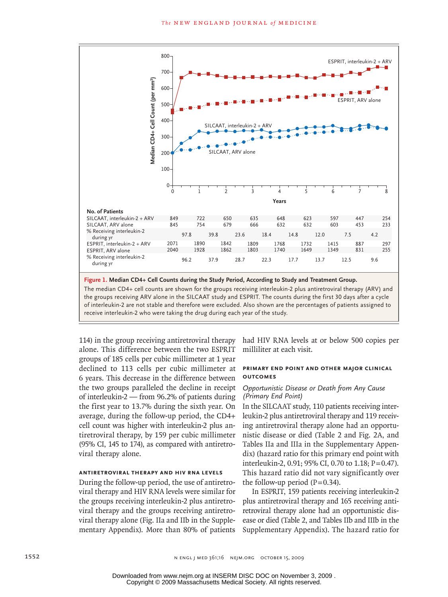

**Figure 1. Median CD4+ Cell Counts during the Study Period, According to Study and Treatment Group.**

The median CD4+ cell counts are shown for the groups receiving interleukin-2 plus antiretroviral therapy (ARV) and the groups receiving ARV alone in the SILCAAT study and ESPRIT. The counts during the first 30 days after a cycle receive interleukin-2 who were taking the drug during each year of the study. are groups recenting have and in the sheet of state) and EST and the counts damig the mot so days after a cycle<br>of interleukin-2 are not stable and therefore were excluded. Also shown are the percentages of patients assign

 $\mathcal{H}_{\mathcal{A}}$ Combo

114) in the group receiving antiretroviral therapy alone. This difference between the two ESPRIT groups of 185 cells per cubic millimeter at 1 year declined to 113 cells per cubic millimeter at 6 years. This decrease in the difference between the two groups paralleled the decline in receipt of interleukin-2 — from 96.2% of patients during the first year to 13.7% during the sixth year. On average, during the follow-up period, the CD4+ cell count was higher with interleukin-2 plus antiretroviral therapy, by 159 per cubic millimeter (95% CI, 145 to 174), as compared with antiretroviral therapy alone.

Enon

#### **Antiretroviral Therapy and HIV RNA Levels**

During the follow-up period, the use of antiretroviral therapy and HIV RNA levels were similar for the groups receiving interleukin-2 plus antiretroviral therapy and the groups receiving antiretroviral therapy alone (Fig. IIa and IIb in the Supplementary Appendix). More than 80% of patients

troviral therapy had HIV RNA levels at or below 500 copies per **SPRIT** milliliter at each visit.

33p9

 $\mathcal{H}_{\mathcal{A}}$ 

# **Primary End Point and Other Major Clinical**  10-15-09 **Outcomes**

## *Opportunistic Disease or Death from Any Cause (Primary End Point)*

In the SILCAAT study, 110 patients receiving interleukin-2 plus antiretroviral therapy and 119 receiving antiretroviral therapy alone had an opportunistic disease or died (Table 2 and Fig. 2A, and Tables IIa and IIIa in the Supplementary Appendix) (hazard ratio for this primary end point with interleukin-2, 0.91; 95% CI, 0.70 to 1.18; P=0.47). This hazard ratio did not vary significantly over the follow-up period  $(P=0.34)$ .

In ESPRIT, 159 patients receiving interleukin-2 plus antiretroviral therapy and 165 receiving antiretroviral therapy alone had an opportunistic disease or died (Table 2, and Tables IIb and IIIb in the Supplementary Appendix). The hazard ratio for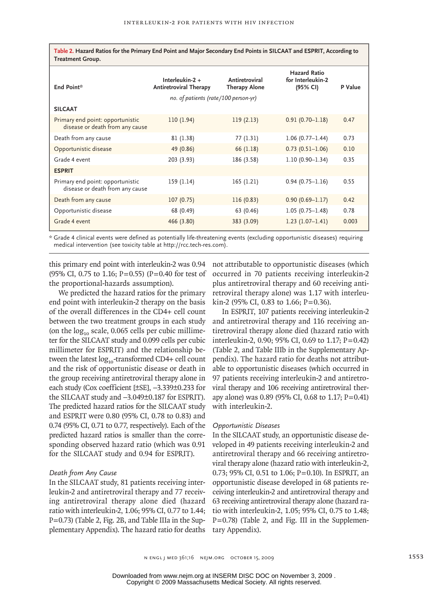**Table 2. Hazard Ratios for the Primary End Point and Major Secondary End Points in SILCAAT and ESPRIT, According to Treatment Group.**

| End Point*                                                          | Interleukin- $2 +$<br><b>Antiretroviral Therapy</b> | Antiretroviral<br><b>Therapy Alone</b> | <b>Hazard Ratio</b><br>for Interleukin-2<br>(95% CI) | P Value |
|---------------------------------------------------------------------|-----------------------------------------------------|----------------------------------------|------------------------------------------------------|---------|
|                                                                     | no. of patients (rate/100 person-γr)                |                                        |                                                      |         |
| <b>SILCAAT</b>                                                      |                                                     |                                        |                                                      |         |
| Primary end point: opportunistic<br>disease or death from any cause | 110 (1.94)                                          | 119(2.13)                              | $0.91(0.70 - 1.18)$                                  | 0.47    |
| Death from any cause                                                | 81 (1.38)                                           | 77 (1.31)                              | $1.06(0.77 - 1.44)$                                  | 0.73    |
| Opportunistic disease                                               | 49 (0.86)                                           | 66 (1.18)                              | $0.73(0.51 - 1.06)$                                  | 0.10    |
| Grade 4 event                                                       | 203 (3.93)                                          | 186 (3.58)                             | $1.10(0.90 - 1.34)$                                  | 0.35    |
| <b>ESPRIT</b>                                                       |                                                     |                                        |                                                      |         |
| Primary end point: opportunistic<br>disease or death from any cause | 159 (1.14)                                          | 165(1.21)                              | $0.94(0.75 - 1.16)$                                  | 0.55    |
| Death from any cause                                                | 107(0.75)                                           | 116(0.83)                              | $0.90(0.69 - 1.17)$                                  | 0.42    |
| Opportunistic disease                                               | 68 (0.49)                                           | 63 (0.46)                              | $1.05(0.75 - 1.48)$                                  | 0.78    |
| Grade 4 event                                                       | 466 (3.80)                                          | 383 (3.09)                             | $1.23(1.07-1.41)$                                    | 0.003   |

\* Grade 4 clinical events were defined as potentially life-threatening events (excluding opportunistic diseases) requiring medical intervention (see toxicity table at http://rcc.tech-res.com).

this primary end point with interleukin-2 was 0.94 (95% CI, 0.75 to 1.16; P=0.55) (P=0.40 for test of the proportional-hazards assumption).

We predicted the hazard ratios for the primary end point with interleukin-2 therapy on the basis of the overall differences in the CD4+ cell count between the two treatment groups in each study (on the  $log_{10}$  scale, 0.065 cells per cubic millimeter for the SILCAAT study and 0.099 cells per cubic millimeter for ESPRIT) and the relationship between the latest  $log_{10}$ -transformed CD4+ cell count and the risk of opportunistic disease or death in the group receiving antiretroviral therapy alone in each study (Cox coefficient [±SE], −3.339±0.233 for the SILCAAT study and −3.049±0.187 for ESPRIT). The predicted hazard ratios for the SILCAAT study and ESPRIT were 0.80 (95% CI, 0.78 to 0.83) and 0.74 (95% CI, 0.71 to 0.77, respectively). Each of the predicted hazard ratios is smaller than the corresponding observed hazard ratio (which was 0.91 for the SILCAAT study and 0.94 for ESPRIT).

# *Death from Any Cause*

In the SILCAAT study, 81 patients receiving interleukin-2 and antiretroviral therapy and 77 receiving antiretroviral therapy alone died (hazard ratio with interleukin-2, 1.06; 95% CI, 0.77 to 1.44; P=0.73) (Table 2, Fig. 2B, and Table IIIa in the Supplementary Appendix). The hazard ratio for deaths

not attributable to opportunistic diseases (which occurred in 70 patients receiving interleukin-2 plus antiretroviral therapy and 60 receiving antiretroviral therapy alone) was 1.17 with interleu- $\text{kin-2}$  (95% CI, 0.83 to 1.66; P=0.36).

In ESPRIT, 107 patients receiving interleukin-2 and antiretroviral therapy and 116 receiving antiretroviral therapy alone died (hazard ratio with interleukin-2, 0.90; 95% CI, 0.69 to 1.17; P=0.42) (Table 2, and Table IIIb in the Supplementary Appendix). The hazard ratio for deaths not attributable to opportunistic diseases (which occurred in 97 patients receiving interleukin-2 and antiretroviral therapy and 106 receiving antiretroviral therapy alone) was 0.89 (95% CI, 0.68 to 1.17; P=0.41) with interleukin-2.

#### *Opportunistic Diseases*

In the SILCAAT study, an opportunistic disease developed in 49 patients receiving interleukin-2 and antiretroviral therapy and 66 receiving antiretroviral therapy alone (hazard ratio with interleukin-2, 0.73; 95% CI, 0.51 to 1.06; P=0.10). In ESPRIT, an opportunistic disease developed in 68 patients receiving interleukin-2 and antiretroviral therapy and 63 receiving antiretroviral therapy alone (hazard ratio with interleukin-2, 1.05; 95% CI, 0.75 to 1.48; P=0.78) (Table 2, and Fig. III in the Supplementary Appendix).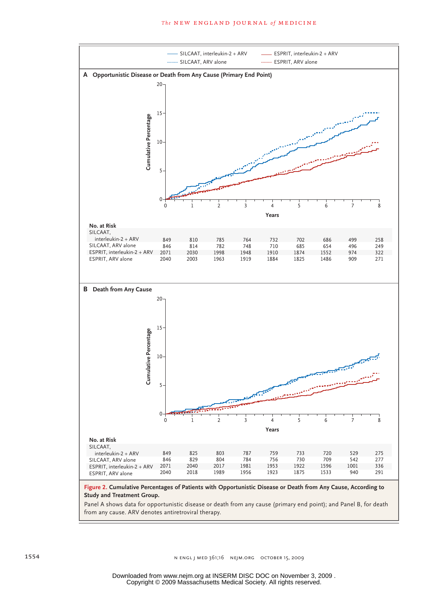

tic disease or death from any cause (primary end p from any cause. ARV denotes antiretroviral therapy. Panel A shows data for opportunistic disease or death from any cause (primary end point); and Panel B, for death<br>C

 $\overline{\phantom{0}}$ 

**SIZE**

EMail Line

ARTIST: ts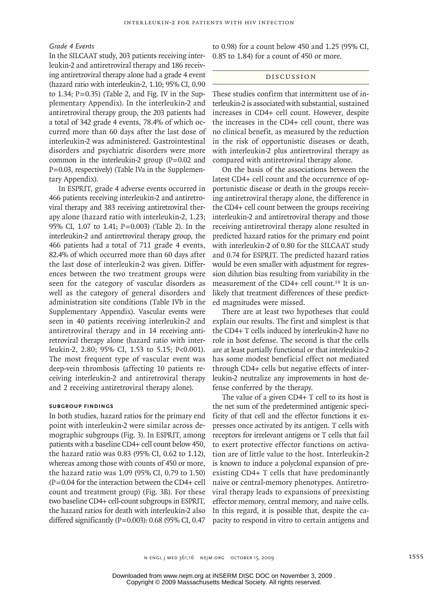#### *Grade 4 Events*

In the SILCAAT study, 203 patients receiving interleukin-2 and antiretroviral therapy and 186 receiving antiretroviral therapy alone had a grade 4 event (hazard ratio with interleukin-2, 1.10; 95% CI, 0.90 to 1.34;  $P=0.35$ ) (Table 2, and Fig. IV in the Supplementary Appendix). In the interleukin-2 and antiretroviral therapy group, the 203 patients had a total of 342 grade 4 events, 78.4% of which occurred more than 60 days after the last dose of interleukin-2 was administered. Gastrointestinal disorders and psychiatric disorders were more common in the interleukin-2 group  $(P=0.02$  and P=0.03, respectively) (Table IVa in the Supplementary Appendix).

In ESPRIT, grade 4 adverse events occurred in 466 patients receiving interleukin-2 and antiretroviral therapy and 383 receiving antiretroviral therapy alone (hazard ratio with interleukin-2, 1.23; 95% CI, 1.07 to 1.41; P=0.003) (Table 2). In the interleukin-2 and antiretroviral therapy group, the 466 patients had a total of 711 grade 4 events, 82.4% of which occurred more than 60 days after the last dose of interleukin-2 was given. Differences between the two treatment groups were seen for the category of vascular disorders as well as the category of general disorders and administration site conditions (Table IVb in the Supplementary Appendix). Vascular events were seen in 40 patients receiving interleukin-2 and antiretroviral therapy and in 14 receiving antiretroviral therapy alone (hazard ratio with interleukin-2, 2.80; 95% CI, 1.53 to 5.15; P<0.001). The most frequent type of vascular event was deep-vein thrombosis (affecting 10 patients receiving interleukin-2 and antiretroviral therapy and 2 receiving antiretroviral therapy alone).

#### **Subgroup Findings**

In both studies, hazard ratios for the primary end point with interleukin-2 were similar across demographic subgroups (Fig. 3). In ESPRIT, among patients with a baseline CD4+ cell count below 450, the hazard ratio was 0.83 (95% CI, 0.62 to 1.12), whereas among those with counts of 450 or more, the hazard ratio was 1.09 (95% CI, 0.79 to 1.50) (P=0.04 for the interaction between the CD4+ cell count and treatment group) (Fig. 3B). For these two baseline CD4+ cell-count subgroups in ESPRIT, the hazard ratios for death with interleukin-2 also differed significantly (P=0.003): 0.68 (95% CI, 0.47 to 0.98) for a count below 450 and 1.25 (95% CI, 0.85 to 1.84) for a count of 450 or more.

#### Discussion

These studies confirm that intermittent use of interleukin-2 is associated with substantial, sustained increases in CD4+ cell count. However, despite the increases in the CD4+ cell count, there was no clinical benefit, as measured by the reduction in the risk of opportunistic diseases or death, with interleukin-2 plus antiretroviral therapy as compared with antiretroviral therapy alone.

On the basis of the associations between the latest CD4+ cell count and the occurrence of opportunistic disease or death in the groups receiving antiretroviral therapy alone, the difference in the CD4+ cell count between the groups receiving interleukin-2 and antiretroviral therapy and those receiving antiretroviral therapy alone resulted in predicted hazard ratios for the primary end point with interleukin-2 of 0.80 for the SILCAAT study and 0.74 for ESPRIT. The predicted hazard ratios would be even smaller with adjustment for regression dilution bias resulting from variability in the measurement of the CD4+ cell count.<sup>18</sup> It is unlikely that treatment differences of these predicted magnitudes were missed.

There are at least two hypotheses that could explain our results. The first and simplest is that the CD4+ T cells induced by interleukin-2 have no role in host defense. The second is that the cells are at least partially functional or that interleukin-2 has some modest beneficial effect not mediated through CD4+ cells but negative effects of interleukin-2 neutralize any improvements in host defense conferred by the therapy.

The value of a given CD4+ T cell to its host is the net sum of the predetermined antigenic specificity of that cell and the effector functions it expresses once activated by its antigen. T cells with receptors for irrelevant antigens or T cells that fail to exert protective effector functions on activation are of little value to the host. Interleukin-2 is known to induce a polyclonal expansion of preexisting CD4+ T cells that have predominantly naive or central-memory phenotypes. Antiretroviral therapy leads to expansions of preexisting effector memory, central memory, and naive cells. In this regard, it is possible that, despite the capacity to respond in vitro to certain antigens and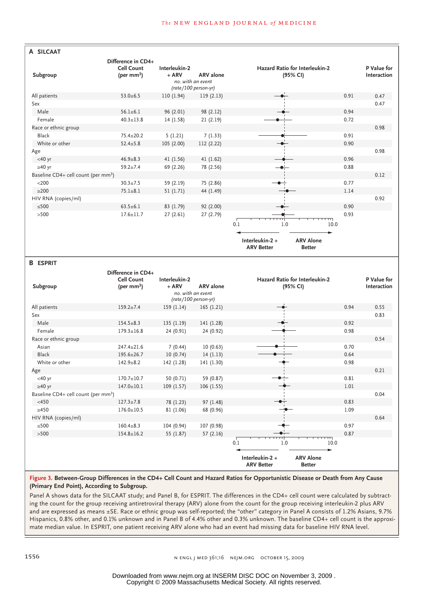| A SILCAAT                                       |                        |                              |                   |                                                                           |      |             |
|-------------------------------------------------|------------------------|------------------------------|-------------------|---------------------------------------------------------------------------|------|-------------|
|                                                 | Difference in CD4+     |                              |                   |                                                                           |      |             |
|                                                 | <b>Cell Count</b>      | Interleukin-2                |                   | Hazard Ratio for Interleukin-2                                            |      | P Value for |
| Subgroup                                        | (per mm <sup>3</sup> ) | $+$ ARV<br>no, with an event | <b>ARV</b> alone  | (95% CI)                                                                  |      | Interaction |
|                                                 |                        | (rate/100 person-yr)         |                   |                                                                           |      |             |
| All patients                                    | $53.0 \pm 6.5$         | 110 (1.94)                   | 119(2.13)         |                                                                           | 0.91 | 0.47        |
| Sex                                             |                        |                              |                   |                                                                           |      | 0.47        |
| Male                                            | $56.1 \pm 6.1$         | 96 (2.01)                    | 98 (2.12)         |                                                                           | 0.94 |             |
| Female                                          | $40.3 \pm 13.8$        | 14(1.58)                     | 21(2.19)          |                                                                           | 0.72 |             |
| Race or ethnic group                            |                        |                              |                   |                                                                           |      | 0.98        |
| Black                                           | 75.4±20.2              | 5(1.21)                      | 7(1.33)           |                                                                           | 0.91 |             |
| White or other                                  | $52.4 \pm 5.8$         | 105 (2.00)                   | 112 (2.22)        |                                                                           | 0.90 |             |
| Age                                             |                        |                              |                   |                                                                           |      | 0.98        |
| $<$ 40 yr                                       | $46.9 + 8.3$           | 41 (1.56)                    | 41 (1.62)         |                                                                           | 0.96 |             |
| $\geq 40$ yr                                    | $59.2 \pm 7.4$         | 69 (2.26)                    | 78 (2.56)         |                                                                           | 0.88 |             |
| Baseline CD4+ cell count (per mm <sup>3</sup> ) |                        |                              |                   |                                                                           |      | 0.12        |
| $<$ 200                                         | $30.3 \pm 7.5$         | 59 (2.19)                    | 75 (2.86)         |                                                                           | 0.77 |             |
| $\geq$ 200                                      | $75.1 + 8.1$           | 51 (1.71)                    | 44 (1.49)         |                                                                           | 1.14 |             |
| HIV RNA (copies/ml)                             |                        |                              |                   |                                                                           |      | 0.92        |
| $≤500$                                          | $63.5 \pm 6.1$         | 83 (1.79)                    | 92 (2.00)         |                                                                           | 0.90 |             |
| $>500$                                          | $17.6 \pm 11.7$        | 27(2.61)                     | 27 (2.79)         |                                                                           | 0.93 |             |
|                                                 |                        |                              |                   |                                                                           |      |             |
|                                                 |                        |                              |                   | 0.1<br>1.0<br>10.0                                                        |      |             |
|                                                 |                        |                              |                   |                                                                           |      |             |
|                                                 |                        |                              |                   | <b>ARV Alone</b><br>Interleukin-2 +<br><b>ARV Better</b><br><b>Better</b> |      |             |
|                                                 |                        |                              |                   |                                                                           |      |             |
| <b>B</b> ESPRIT                                 |                        |                              |                   |                                                                           |      |             |
|                                                 | Difference in CD4+     |                              |                   |                                                                           |      |             |
|                                                 | <b>Cell Count</b>      | Interleukin-2                |                   | Hazard Ratio for Interleukin-2                                            |      | P Value for |
| Subgroup                                        | (per mm <sup>3</sup> ) | $+$ ARV                      | <b>ARV</b> alone  | (95% CI)                                                                  |      | Interaction |
|                                                 |                        |                              | no. with an event |                                                                           |      |             |
|                                                 |                        | (rate/100 person-yr)         |                   |                                                                           |      |             |
| All patients                                    | $159.2 \pm 7.4$        | 159 (1.14)                   | 165(1.21)         |                                                                           | 0.94 | 0.55        |
| Sex                                             |                        |                              |                   |                                                                           |      | 0.83        |
| Male                                            | $154.5 + 8.3$          | 135 (1.19)                   | 141 (1.28)        |                                                                           | 0.92 |             |
| Female                                          | $179.3 \pm 16.8$       | 24 (0.91)                    | 24 (0.92)         |                                                                           | 0.98 |             |
| Race or ethnic group                            |                        |                              |                   |                                                                           |      | 0.54        |
| Asian                                           | $247.4 \pm 21.6$       | 7(0.44)                      | 10(0.63)          |                                                                           | 0.70 |             |
| <b>Black</b>                                    | 195.6±26.7             | 10(0.74)                     | 14(1.13)          |                                                                           | 0.64 |             |
| White or other                                  | $142.9 + 8.2$          | 142 (1.28)                   | 141 (1.30)        |                                                                           | 0.98 |             |
| Age                                             |                        |                              |                   |                                                                           |      | 0.21        |
| $<$ 40 yr                                       | $170.7 \pm 10.7$       | 50 (0.71)                    | 59 (0.87)         |                                                                           | 0.81 |             |
| $\geq 40$ yr                                    | $147.0 \pm 10.1$       | 109 (1.57)                   | 106 (1.55)        |                                                                           | 1.01 |             |
| Baseline CD4+ cell count (per mm <sup>3</sup> ) |                        |                              |                   |                                                                           |      | 0.04        |
| $<$ 450                                         | $127.3 \pm 7.8$        | 78 (1.23)                    | 97 (1.48)         |                                                                           | 0.83 |             |
| $\geq 450$                                      | $176.0 \pm 10.5$       | 81 (1.06)                    | 68 (0.96)         |                                                                           | 1.09 |             |
| HIV RNA (copies/ml)                             |                        |                              |                   |                                                                           |      | 0.64        |
| $≤500$                                          | $160.4 + 8.3$          | 104 (0.94)                   | 107 (0.98)        |                                                                           | 0.97 |             |

**ARV Better Better Figure 3. Between-Group Differences in the CD4+ Cell Count and Hazard Ratios for Opportunistic Disease or Death from Any Cause** 

55 (1.87)

154.8±16.2

Hispanics, 0.8% other, and 0.1% unknown and in Panel B of 4.4% other and 0.3% unknown. The baseline CD4+ cell count is the approxind Panel B, fo and are expressed as means ±SE. Race or ethnic group was self-reported; the "other" category in Panel A consists of 1.2% Asians, 9.7% ing the count for the group receiving antiretroviral therapy (ARV) alone from the count for the group receiving interleukin-2 plus ARV mate median value. In ESPRIT, one patient receiving ARV alone who had an event had missing data for baseline HIV RNA level. Panel A shows data for the SILCAAT study; and Panel B, for ESPRIT. The differences in the CD4+ cell count were calculated by subtract-**(Primary End Point), According to Subgroup.**

57 (2.16)

**AUTHOR, PLEASE NOTE:**

>500

0.87

0.1 1.0 10.0

**ARV Alone**

**Interleukin-2 +**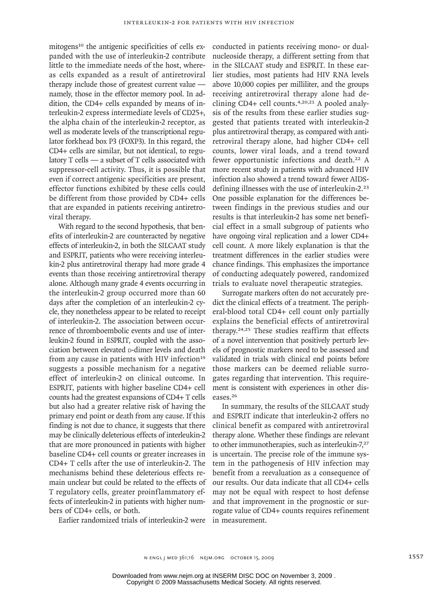mitogens<sup>10</sup> the antigenic specificities of cells expanded with the use of interleukin-2 contribute little to the immediate needs of the host, whereas cells expanded as a result of antiretroviral therapy include those of greatest current value namely, those in the effector memory pool. In addition, the CD4+ cells expanded by means of interleukin-2 express intermediate levels of CD25+, the alpha chain of the interleukin-2 receptor, as well as moderate levels of the transcriptional regulator forkhead box P3 (FOXP3). In this regard, the CD4+ cells are similar, but not identical, to regulatory T cells — a subset of T cells associated with suppressor-cell activity. Thus, it is possible that even if correct antigenic specificities are present, effector functions exhibited by these cells could be different from those provided by CD4+ cells that are expanded in patients receiving antiretroviral therapy.

With regard to the second hypothesis, that benefits of interleukin-2 are counteracted by negative effects of interleukin-2, in both the SILCAAT study and ESPRIT, patients who were receiving interleukin-2 plus antiretroviral therapy had more grade 4 events than those receiving antiretroviral therapy alone. Although many grade 4 events occurring in the interleukin-2 group occurred more than 60 days after the completion of an interleukin-2 cycle, they nonetheless appear to be related to receipt of interleukin-2. The association between occurrence of thromboembolic events and use of interleukin-2 found in ESPRIT, coupled with the association between elevated p-dimer levels and death from any cause in patients with HIV infection<sup>19</sup> suggests a possible mechanism for a negative effect of interleukin-2 on clinical outcome. In ESPRIT, patients with higher baseline CD4+ cell counts had the greatest expansions of CD4+ T cells but also had a greater relative risk of having the primary end point or death from any cause. If this finding is not due to chance, it suggests that there may be clinically deleterious effects of interleukin-2 that are more pronounced in patients with higher baseline CD4+ cell counts or greater increases in CD4+ T cells after the use of interleukin-2. The mechanisms behind these deleterious effects remain unclear but could be related to the effects of T regulatory cells, greater proinflammatory effects of interleukin-2 in patients with higher numbers of CD4+ cells, or both.

Earlier randomized trials of interleukin-2 were in measurement.

conducted in patients receiving mono- or dualnucleoside therapy, a different setting from that in the SILCAAT study and ESPRIT. In these earlier studies, most patients had HIV RNA levels above 10,000 copies per milliliter, and the groups receiving antiretroviral therapy alone had declining CD4+ cell counts.<sup>4,20,21</sup> A pooled analysis of the results from these earlier studies suggested that patients treated with interleukin-2 plus antiretroviral therapy, as compared with antiretroviral therapy alone, had higher CD4+ cell counts, lower viral loads, and a trend toward fewer opportunistic infections and death.22 A more recent study in patients with advanced HIV infection also showed a trend toward fewer AIDSdefining illnesses with the use of interleukin-2.<sup>23</sup> One possible explanation for the differences between findings in the previous studies and our results is that interleukin-2 has some net beneficial effect in a small subgroup of patients who have ongoing viral replication and a lower CD4+ cell count. A more likely explanation is that the treatment differences in the earlier studies were chance findings. This emphasizes the importance of conducting adequately powered, randomized trials to evaluate novel therapeutic strategies.

Surrogate markers often do not accurately predict the clinical effects of a treatment. The peripheral-blood total CD4+ cell count only partially explains the beneficial effects of antiretroviral therapy.24,25 These studies reaffirm that effects of a novel intervention that positively perturb levels of prognostic markers need to be assessed and validated in trials with clinical end points before those markers can be deemed reliable surrogates regarding that intervention. This requirement is consistent with experiences in other diseases.<sup>26</sup>

In summary, the results of the SILCAAT study and ESPRIT indicate that interleukin-2 offers no clinical benefit as compared with antiretroviral therapy alone. Whether these findings are relevant to other immunotherapies, such as interleukin-7,<sup>27</sup> is uncertain. The precise role of the immune system in the pathogenesis of HIV infection may benefit from a reevaluation as a consequence of our results. Our data indicate that all CD4+ cells may not be equal with respect to host defense and that improvement in the prognostic or surrogate value of CD4+ counts requires refinement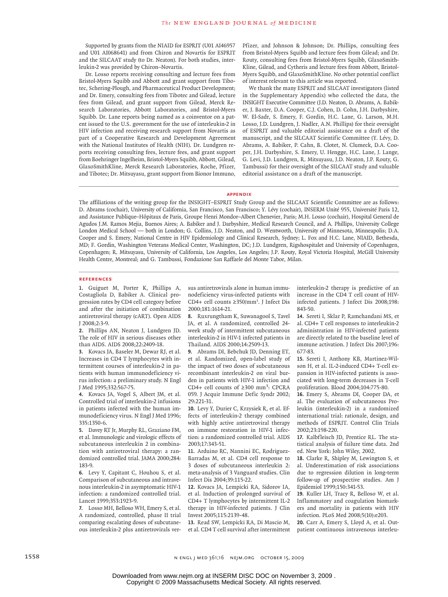Supported by grants from the NIAID for ESPRIT (U01 AI46957 and U01 AI068641) and from Chiron and Novartis for ESPRIT and the SILCAAT study (to Dr. Neaton). For both studies, interleukin-2 was provided by Chiron–Novartis.

Dr. Losso reports receiving consulting and lecture fees from Bristol-Myers Squibb and Abbott and grant support from Tibotec, Schering-Plough, and Pharmaceutical Product Development; and Dr. Emery, consulting fees from Tibotec and Gilead, lecture fees from Gilead, and grant support from Gilead, Merck Research Laboratories, Abbott Laboratories, and Bristol-Myers Squibb. Dr. Lane reports being named as a coinventor on a patent issued to the U.S. government for the use of interleukin-2 in HIV infection and receiving research support from Novartis as part of a Cooperative Research and Development Agreement with the National Institutes of Health (NIH). Dr. Lundgren reports receiving consulting fees, lecture fees, and grant support from Boehringer Ingelheim, Bristol-Myers Squibb, Abbott, Gilead, GlaxoSmithKline, Merck Research Laboratories, Roche, Pfizer, and Tibotec; Dr. Mitsuyasu, grant support from Bionor Immuno,

Pfizer, and Johnson & Johnson; Dr. Phillips, consulting fees from Bristol-Myers Squibb and lecture fees from Gilead; and Dr. Routy, consulting fees from Bristol-Myers Squibb, GlaxoSmith-Kline, Gilead, and Cytheris and lecture fees from Abbott, Bristol-Myers Squibb, and GlaxoSmithKline. No other potential conflict of interest relevant to this article was reported.

We thank the many ESPRIT and SILCAAT investigators (listed in the Supplementary Appendix) who collected the data, the INSIGHT Executive Committee (J.D. Neaton, D. Abrams, A. Babiker, J. Baxter, D.A. Cooper, C.J. Cohen, D. Cohn, J.H. Darbyshire, W. El-Sadr, S. Emery, F. Gordin, H.C. Lane, G. Larson, M.H. Losso, J.D. Lundgren, J. Nadler, A.N. Phillips) for their oversight of ESPRIT and valuable editorial assistance on a draft of the manuscript, and the SILCAAT Scientific Committee (Y. Lévy, D. Abrams, A. Babiker, P. Cahn, B. Clotet, N. Clumeck, D.A. Cooper, J.H. Darbyshire, S. Emery, U. Hengge, H.C. Lane, J. Lange, G. Levi, J.D. Lundgren, R. Mitsuyasu, J.D. Neaton, J.P. Routy, G. Tambussi) for their oversight of the SILCAAT study and valuable editorial assistance on a draft of the manuscript.

#### **APPENDIX**

The affiliations of the writing group for the INSIGHT–ESPRIT Study Group and the SILCAAT Scientific Committee are as follows: D. Abrams (cochair), University of California, San Francisco, San Francisco; Y. Lévy (cochair), INSERM Unité 955, Université Paris 12, and Assistance Publique–Hôpitaux de Paris, Groupe Henri Mondor–Albert Chenevier, Paris; M.H. Losso (cochair), Hospital General de Agudos J.M. Ramos Mejia, Buenos Aires; A. Babiker and J. Darbyshire, Medical Research Council, and A. Phillips, University College London Medical School — both in London; G. Collins, J.D. Neaton, and D. Wentworth, University of Minnesota, Minneapolis; D.A. Cooper and S. Emery, National Centre in HIV Epidemiology and Clinical Research, Sydney; L. Fox and H.C. Lane, NIAID, Bethesda, MD; F. Gordin, Washington Veterans Medical Center, Washington, DC; J.D. Lundgren, Rigshospitalet and University of Copenhagen, Copenhagen; R. Mitsuyasu, University of California, Los Angeles, Los Angeles; J.P. Routy, Royal Victoria Hospital, McGill University Health Centre, Montreal; and G. Tambussi, Fondazione San Raffaele del Monte Tabor, Milan.

#### **References**

**1.** Guiguet M, Porter K, Phillips A, Costagliola D, Babiker A. Clinical progression rates by CD4 cell category before and after the initiation of combination antiretroviral therapy (cART). Open AIDS J 2008;2:3-9.

**2.** Phillips AN, Neaton J, Lundgren JD. The role of HIV in serious diseases other than AIDS. AIDS 2008;22:2409-18.

**3.** Kovacs JA, Baseler M, Dewar RJ, et al. Increases in CD4 T lymphocytes with intermittent courses of interleukin-2 in patients with human immunodeficiency virus infection: a preliminary study. N Engl J Med 1995;332:567-75.

**4.** Kovacs JA, Vogel S, Albert JM, et al. Controlled trial of interleukin-2 infusions in patients infected with the human immunodeficiency virus. N Engl J Med 1996; 335:1350-6.

**5.** Davey RT Jr, Murphy RL, Graziano FM, et al. Immunologic and virologic effects of subcutaneous interleukin 2 in combination with antiretroviral therapy: a randomized controlled trial. JAMA 2000;284: 183-9.

**6.** Levy Y, Capitant C, Houhou S, et al. Comparison of subcutaneous and intravenous interleukin-2 in asymptomatic HIV-1 infection: a randomized controlled trial. Lancet 1999;353:1923-9.

**7.** Losso MH, Belloso WH, Emery S, et al. A randomized, controlled, phase II trial comparing escalating doses of subcutaneous interleukin-2 plus antiretrovirals versus antiretrovirals alone in human immunodeficiency virus-infected patients with CD4+ cell counts ≥350/mm3 . J Infect Dis 2000;181:1614-21.

**8.** Ruxrungtham K, Suwanagool S, Tavel JA, et al. A randomized, controlled 24 week study of intermittent subcutaneous interleukin-2 in HIV-1 infected patients in Thailand. AIDS 2000;14:2509-13.

**9.** Abrams DI, Bebchuk JD, Denning ET, et al. Randomized, open-label study of the impact of two doses of subcutaneous recombinant interleukin-2 on viral burden in patients with HIV-1 infection and CD4+ cell counts of ≥300 mm<sup>3</sup> : CPCRA 059. J Acquir Immune Defic Syndr 2002; 29:221-31.

**10.** Levy Y, Durier C, Krzysiek R, et al. Effects of interleukin-2 therapy combined with highly active antiretroviral therapy on immune restoration in HIV-1 infection: a randomized controlled trial. AIDS 2003;17:343-51.

**11.** Arduino RC, Nannini EC, Rodriguez-Barradas M, et al. CD4 cell response to 3 doses of subcutaneous interleukin 2: meta-analysis of 3 Vanguard studies. Clin Infect Dis 2004;39:115-22.

**12.** Kovacs JA, Lempicki RA, Sidorov IA, et al. Induction of prolonged survival of CD4+ T lymphocytes by intermittent IL-2 therapy in HIV-infected patients. J Clin Invest 2005;115:2139-48.

**13.** Read SW, Lempicki RA, Di Mascio M, et al. CD4 T cell survival after intermittent interleukin-2 therapy is predictive of an increase in the CD4 T cell count of HIVinfected patients. J Infect Dis 2008;198: 843-50.

**14.** Sereti I, Sklar P, Ramchandani MS, et al. CD4+ T cell responses to interleukin-2 administration in HIV-infected patients are directly related to the baseline level of immune activation. J Infect Dis 2007;196: 677-83.

**15.** Sereti I, Anthony KB, Martinez-Wilson H, et al. IL-2-induced CD4+ T-cell expansion in HIV-infected patients is associated with long-term decreases in T-cell proliferation. Blood 2004;104:775-80.

**16.** Emery S, Abrams DI, Cooper DA, et al. The evaluation of subcutaneous Proleukin (interleukin-2) in a randomized international trial: rationale, design, and methods of ESPRIT. Control Clin Trials 2002;23:198-220.

**17.** Kalbfleisch JD, Prentice RL. The statistical analysis of failure time data. 2nd ed. New York: John Wiley, 2002.

**18.** Clarke R, Shipley M, Lewington S, et al. Underestimation of risk associations due to regression dilution in long-term follow-up of prospective studies. Am J Epidemiol 1999;150:341-53.

**19.** Kuller LH, Tracy R, Belloso W, et al. Inflammatory and coagulation biomarkers and mortality in patients with HIV infection. PLoS Med 2008;5(10):e203.

**20.** Carr A, Emery S, Lloyd A, et al. Outpatient continuous intravenous interleu